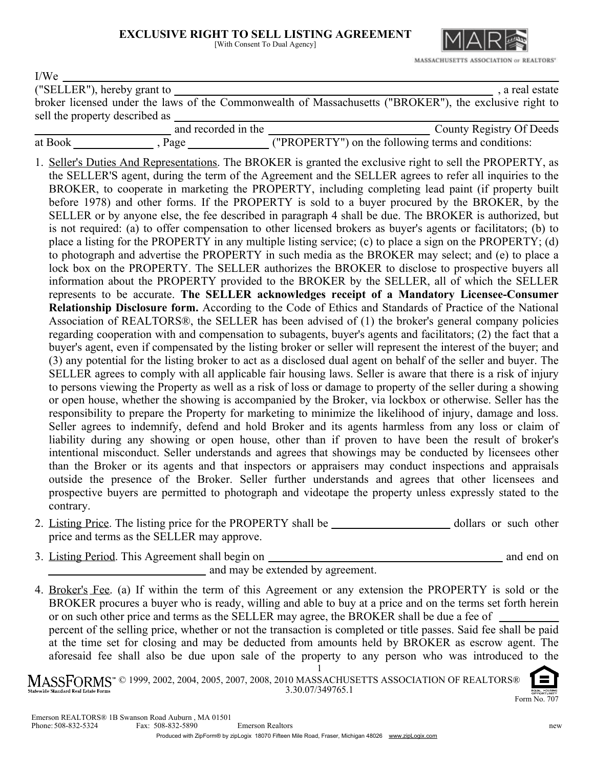## **EXCLUSIVE RIGHT TO SELL LISTING AGREEMENT**

| EACLUSIVE KIGHT TO SELL LISTING AGKEEMENT |    |
|-------------------------------------------|----|
| [With Consent To Dual Agency]             | IΜ |
|                                           |    |

| I/We                                                                                                                                                                                                                                                                                                                                                                                                                                                                                                                                                                                                                                                                                                                                                                                                                                                                                                                                                                                                                                                                                                                                                                                                                                                                                                                                                                                                                                                                                                                                                                                                                                                                                                                                                                                                                                                                                                                                                                                                                                                                                                                                                                                                                                                                                                                                                                                                                                                                                                                                                                                                                                                                                                                                                                                                                                                                                              |
|---------------------------------------------------------------------------------------------------------------------------------------------------------------------------------------------------------------------------------------------------------------------------------------------------------------------------------------------------------------------------------------------------------------------------------------------------------------------------------------------------------------------------------------------------------------------------------------------------------------------------------------------------------------------------------------------------------------------------------------------------------------------------------------------------------------------------------------------------------------------------------------------------------------------------------------------------------------------------------------------------------------------------------------------------------------------------------------------------------------------------------------------------------------------------------------------------------------------------------------------------------------------------------------------------------------------------------------------------------------------------------------------------------------------------------------------------------------------------------------------------------------------------------------------------------------------------------------------------------------------------------------------------------------------------------------------------------------------------------------------------------------------------------------------------------------------------------------------------------------------------------------------------------------------------------------------------------------------------------------------------------------------------------------------------------------------------------------------------------------------------------------------------------------------------------------------------------------------------------------------------------------------------------------------------------------------------------------------------------------------------------------------------------------------------------------------------------------------------------------------------------------------------------------------------------------------------------------------------------------------------------------------------------------------------------------------------------------------------------------------------------------------------------------------------------------------------------------------------------------------------------------------------|
| ("SELLER"), hereby grant to                                                                                                                                                                                                                                                                                                                                                                                                                                                                                                                                                                                                                                                                                                                                                                                                                                                                                                                                                                                                                                                                                                                                                                                                                                                                                                                                                                                                                                                                                                                                                                                                                                                                                                                                                                                                                                                                                                                                                                                                                                                                                                                                                                                                                                                                                                                                                                                                                                                                                                                                                                                                                                                                                                                                                                                                                                                                       |
| , a real estate ("SELLER"), hereby grant to say of the Commonwealth of Massachusetts ("BROKER"), the exclusive right to                                                                                                                                                                                                                                                                                                                                                                                                                                                                                                                                                                                                                                                                                                                                                                                                                                                                                                                                                                                                                                                                                                                                                                                                                                                                                                                                                                                                                                                                                                                                                                                                                                                                                                                                                                                                                                                                                                                                                                                                                                                                                                                                                                                                                                                                                                                                                                                                                                                                                                                                                                                                                                                                                                                                                                           |
|                                                                                                                                                                                                                                                                                                                                                                                                                                                                                                                                                                                                                                                                                                                                                                                                                                                                                                                                                                                                                                                                                                                                                                                                                                                                                                                                                                                                                                                                                                                                                                                                                                                                                                                                                                                                                                                                                                                                                                                                                                                                                                                                                                                                                                                                                                                                                                                                                                                                                                                                                                                                                                                                                                                                                                                                                                                                                                   |
|                                                                                                                                                                                                                                                                                                                                                                                                                                                                                                                                                                                                                                                                                                                                                                                                                                                                                                                                                                                                                                                                                                                                                                                                                                                                                                                                                                                                                                                                                                                                                                                                                                                                                                                                                                                                                                                                                                                                                                                                                                                                                                                                                                                                                                                                                                                                                                                                                                                                                                                                                                                                                                                                                                                                                                                                                                                                                                   |
|                                                                                                                                                                                                                                                                                                                                                                                                                                                                                                                                                                                                                                                                                                                                                                                                                                                                                                                                                                                                                                                                                                                                                                                                                                                                                                                                                                                                                                                                                                                                                                                                                                                                                                                                                                                                                                                                                                                                                                                                                                                                                                                                                                                                                                                                                                                                                                                                                                                                                                                                                                                                                                                                                                                                                                                                                                                                                                   |
| 1. Seller's Duties And Representations. The BROKER is granted the exclusive right to sell the PROPERTY, as<br>the SELLER'S agent, during the term of the Agreement and the SELLER agrees to refer all inquiries to the<br>BROKER, to cooperate in marketing the PROPERTY, including completing lead paint (if property built<br>before 1978) and other forms. If the PROPERTY is sold to a buyer procured by the BROKER, by the<br>SELLER or by anyone else, the fee described in paragraph 4 shall be due. The BROKER is authorized, but<br>is not required: (a) to offer compensation to other licensed brokers as buyer's agents or facilitators; (b) to<br>place a listing for the PROPERTY in any multiple listing service; (c) to place a sign on the PROPERTY; (d)<br>to photograph and advertise the PROPERTY in such media as the BROKER may select; and (e) to place a<br>lock box on the PROPERTY. The SELLER authorizes the BROKER to disclose to prospective buyers all<br>information about the PROPERTY provided to the BROKER by the SELLER, all of which the SELLER<br>represents to be accurate. The SELLER acknowledges receipt of a Mandatory Licensee-Consumer<br>Relationship Disclosure form. According to the Code of Ethics and Standards of Practice of the National<br>Association of REALTORS®, the SELLER has been advised of (1) the broker's general company policies<br>regarding cooperation with and compensation to subagents, buyer's agents and facilitators; (2) the fact that a<br>buyer's agent, even if compensated by the listing broker or seller will represent the interest of the buyer; and<br>(3) any potential for the listing broker to act as a disclosed dual agent on behalf of the seller and buyer. The<br>SELLER agrees to comply with all applicable fair housing laws. Seller is aware that there is a risk of injury<br>to persons viewing the Property as well as a risk of loss or damage to property of the seller during a showing<br>or open house, whether the showing is accompanied by the Broker, via lockbox or otherwise. Seller has the<br>responsibility to prepare the Property for marketing to minimize the likelihood of injury, damage and loss.<br>Seller agrees to indemnify, defend and hold Broker and its agents harmless from any loss or claim of<br>liability during any showing or open house, other than if proven to have been the result of broker's<br>intentional misconduct. Seller understands and agrees that showings may be conducted by licensees other<br>than the Broker or its agents and that inspectors or appraisers may conduct inspections and appraisals<br>outside the presence of the Broker. Seller further understands and agrees that other licensees and<br>prospective buyers are permitted to photograph and videotape the property unless expressly stated to the<br>contrary. |
| <b>B</b> and it is a department of the                                                                                                                                                                                                                                                                                                                                                                                                                                                                                                                                                                                                                                                                                                                                                                                                                                                                                                                                                                                                                                                                                                                                                                                                                                                                                                                                                                                                                                                                                                                                                                                                                                                                                                                                                                                                                                                                                                                                                                                                                                                                                                                                                                                                                                                                                                                                                                                                                                                                                                                                                                                                                                                                                                                                                                                                                                                            |

- 2. Listing Price. The listing price for the PROPERTY shall be dollars or such other price and terms as the SELLER may approve.
- 3. Listing Period. This Agreement shall begin on

and may be extended by agreement.

4. Broker's Fee. (a) If within the term of this Agreement or any extension the PROPERTY is sold or the BROKER procures a buyer who is ready, willing and able to buy at a price and on the terms set forth herein or on such other price and terms as the SELLER may agree, the BROKER shall be due a fee of percent of the selling price, whether or not the transaction is completed or title passes. Said fee shall be paid at the time set for closing and may be deducted from amounts held by BROKER as escrow agent. The aforesaid fee shall also be due upon sale of the property to any person who was introduced to the

1 © 1999, 2002, 2004, 2005, 2007, 2008, 2010 MASSACHUSETTS ASSOCIATION OF REALTORS® 3.30.07/349765.1 .<br>Standard Real Estate Form



and end on

MASSACHUSETTS ASSOCIATION or REALTORS'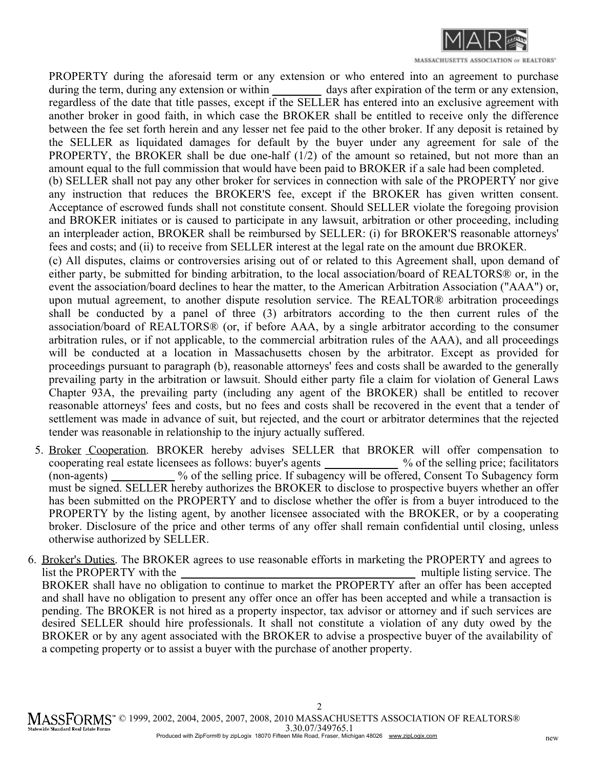

MASSACHUSETTS ASSOCIATION or REALTORS'

PROPERTY during the aforesaid term or any extension or who entered into an agreement to purchase during the term, during any extension or within \_\_\_\_\_\_\_\_\_\_ days after expiration of the term or any extension, regardless of the date that title passes, except if the SELLER has entered into an exclusive agreement with another broker in good faith, in which case the BROKER shall be entitled to receive only the difference between the fee set forth herein and any lesser net fee paid to the other broker. If any deposit is retained by the SELLER as liquidated damages for default by the buyer under any agreement for sale of the PROPERTY, the BROKER shall be due one-half (1/2) of the amount so retained, but not more than an amount equal to the full commission that would have been paid to BROKER if a sale had been completed.

(b) SELLER shall not pay any other broker for services in connection with sale of the PROPERTY nor give any instruction that reduces the BROKER'S fee, except if the BROKER has given written consent. Acceptance of escrowed funds shall not constitute consent. Should SELLER violate the foregoing provision and BROKER initiates or is caused to participate in any lawsuit, arbitration or other proceeding, including an interpleader action, BROKER shall be reimbursed by SELLER: (i) for BROKER'S reasonable attorneys' fees and costs; and (ii) to receive from SELLER interest at the legal rate on the amount due BROKER.

(c) All disputes, claims or controversies arising out of or related to this Agreement shall, upon demand of either party, be submitted for binding arbitration, to the local association/board of REALTORS® or, in the event the association/board declines to hear the matter, to the American Arbitration Association ("AAA") or, upon mutual agreement, to another dispute resolution service. The REALTOR® arbitration proceedings shall be conducted by a panel of three (3) arbitrators according to the then current rules of the association/board of REALTORS® (or, if before AAA, by a single arbitrator according to the consumer arbitration rules, or if not applicable, to the commercial arbitration rules of the AAA), and all proceedings will be conducted at a location in Massachusetts chosen by the arbitrator. Except as provided for proceedings pursuant to paragraph (b), reasonable attorneys' fees and costs shall be awarded to the generally prevailing party in the arbitration or lawsuit. Should either party file a claim for violation of General Laws Chapter 93A, the prevailing party (including any agent of the BROKER) shall be entitled to recover reasonable attorneys' fees and costs, but no fees and costs shall be recovered in the event that a tender of settlement was made in advance of suit, but rejected, and the court or arbitrator determines that the rejected tender was reasonable in relationship to the injury actually suffered.

- 5. Broker Cooperation. BROKER hereby advises SELLER that BROKER will offer compensation to cooperating real estate licensees as follows: buyer's agents (non-agents) must be signed. SELLER hereby authorizes the BROKER to disclose to prospective buyers whether an offer has been submitted on the PROPERTY and to disclose whether the offer is from a buyer introduced to the PROPERTY by the listing agent, by another licensee associated with the BROKER, or by a cooperating broker. Disclosure of the price and other terms of any offer shall remain confidential until closing, unless otherwise authorized by SELLER. % of the selling price; facilitators % of the selling price. If subagency will be offered, Consent To Subagency form
- 6. Broker's Duties. The BROKER agrees to use reasonable efforts in marketing the PROPERTY and agrees to BROKER shall have no obligation to continue to market the PROPERTY after an offer has been accepted and shall have no obligation to present any offer once an offer has been accepted and while a transaction is pending. The BROKER is not hired as a property inspector, tax advisor or attorney and if such services are desired SELLER should hire professionals. It shall not constitute a violation of any duty owed by the BROKER or by any agent associated with the BROKER to advise a prospective buyer of the availability of a competing property or to assist a buyer with the purchase of another property. list the PROPERTY with the multiple listing service. The